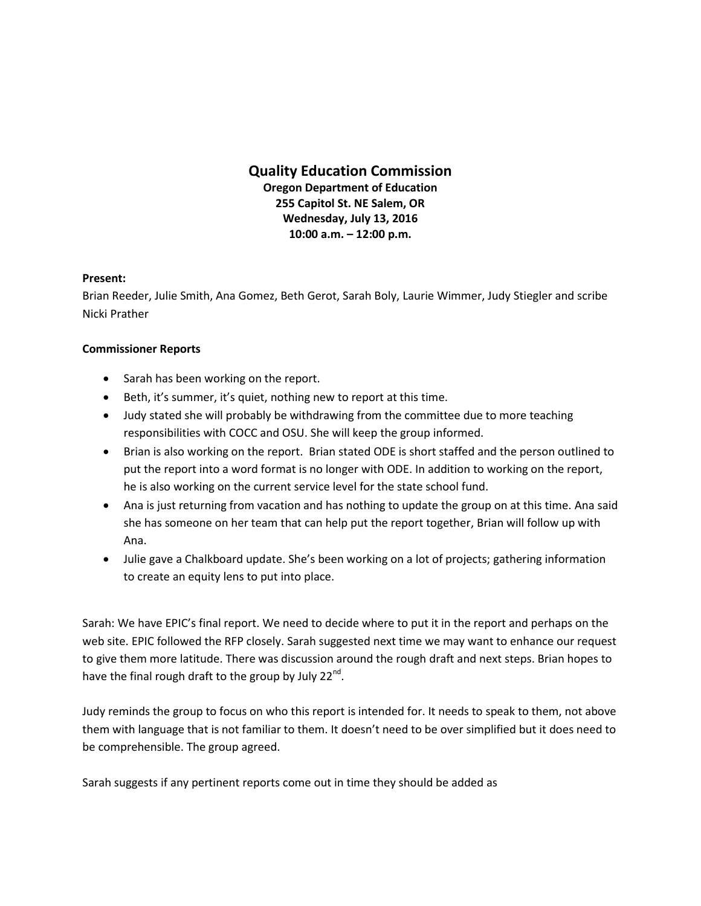## **Quality Education Commission Oregon Department of Education 255 Capitol St. NE Salem, OR Wednesday, July 13, 2016 10:00 a.m. – 12:00 p.m.**

## **Present:**

Brian Reeder, Julie Smith, Ana Gomez, Beth Gerot, Sarah Boly, Laurie Wimmer, Judy Stiegler and scribe Nicki Prather

## **Commissioner Reports**

- Sarah has been working on the report.
- Beth, it's summer, it's quiet, nothing new to report at this time.
- Judy stated she will probably be withdrawing from the committee due to more teaching responsibilities with COCC and OSU. She will keep the group informed.
- Brian is also working on the report. Brian stated ODE is short staffed and the person outlined to put the report into a word format is no longer with ODE. In addition to working on the report, he is also working on the current service level for the state school fund.
- Ana is just returning from vacation and has nothing to update the group on at this time. Ana said she has someone on her team that can help put the report together, Brian will follow up with Ana.
- Julie gave a Chalkboard update. She's been working on a lot of projects; gathering information to create an equity lens to put into place.

Sarah: We have EPIC's final report. We need to decide where to put it in the report and perhaps on the web site. EPIC followed the RFP closely. Sarah suggested next time we may want to enhance our request to give them more latitude. There was discussion around the rough draft and next steps. Brian hopes to have the final rough draft to the group by July 22<sup>nd</sup>.

Judy reminds the group to focus on who this report is intended for. It needs to speak to them, not above them with language that is not familiar to them. It doesn't need to be over simplified but it does need to be comprehensible. The group agreed.

Sarah suggests if any pertinent reports come out in time they should be added as